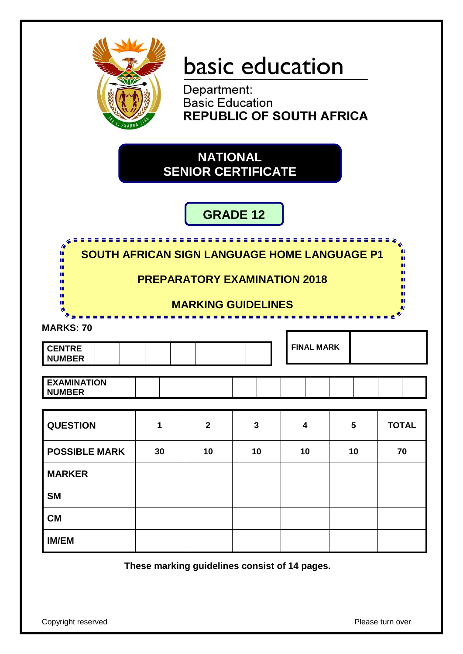

# basic education

Department: **Basic Education REPUBLIC OF SOUTH AFRICA** 

# **NATIONAL SENIOR CERTIFICATE**

# **GRADE 12**

| 4<br><b>SOUTH AFRICAN SIGN LANGUAGE HOME LANGUAGE P1</b><br>п<br>ш<br>Ш<br>Ш<br>ш<br>Ш<br>ш | <b>PREPARATORY EXAMINATION 2018</b> |                |              |                         |    | 556 S<br>m<br>п |  |  |  |
|---------------------------------------------------------------------------------------------|-------------------------------------|----------------|--------------|-------------------------|----|-----------------|--|--|--|
| ш<br><b>MARKING GUIDELINES</b>                                                              |                                     |                |              |                         |    |                 |  |  |  |
| <b>MARKS: 70</b><br><b>CENTRE</b><br><b>NUMBER</b>                                          |                                     |                |              | <b>FINAL MARK</b>       |    |                 |  |  |  |
| <b>EXAMINATION</b><br><b>NUMBER</b>                                                         |                                     |                |              |                         |    |                 |  |  |  |
| <b>QUESTION</b>                                                                             | 1                                   | $\overline{2}$ | $\mathbf{3}$ | $\overline{\mathbf{4}}$ | 5  | <b>TOTAL</b>    |  |  |  |
| <b>POSSIBLE MARK</b>                                                                        | 30                                  | 10             | 10           | 10                      | 10 | 70              |  |  |  |
| <b>MARKER</b>                                                                               |                                     |                |              |                         |    |                 |  |  |  |
| <b>SM</b>                                                                                   |                                     |                |              |                         |    |                 |  |  |  |
| <b>CM</b>                                                                                   |                                     |                |              |                         |    |                 |  |  |  |
| <b>IM/EM</b>                                                                                |                                     |                |              |                         |    |                 |  |  |  |

**These marking guidelines consist of 14 pages.**

Copyright reserved **Please** turn over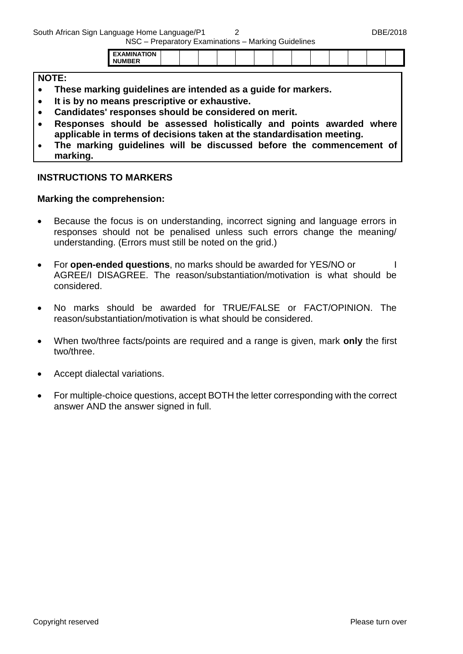South African Sign Language Home Language/P1 2 DBE/2018

NSC – Preparatory Examinations – Marking Guidelines

|--|

#### **NOTE:**

- **These marking guidelines are intended as a guide for markers.**
- **It is by no means prescriptive or exhaustive.**
- **Candidates' responses should be considered on merit.**
- **Responses should be assessed holistically and points awarded where applicable in terms of decisions taken at the standardisation meeting.**
- **The marking guidelines will be discussed before the commencement of marking.**

#### **INSTRUCTIONS TO MARKERS**

#### **Marking the comprehension:**

- Because the focus is on understanding, incorrect signing and language errors in responses should not be penalised unless such errors change the meaning/ understanding. (Errors must still be noted on the grid.)
- For **open-ended questions**, no marks should be awarded for YES/NO or AGREE/I DISAGREE. The reason/substantiation/motivation is what should be considered.
- No marks should be awarded for TRUE/FALSE or FACT/OPINION. The reason/substantiation/motivation is what should be considered.
- When two/three facts/points are required and a range is given, mark **only** the first two/three.
- Accept dialectal variations.
- For multiple-choice questions, accept BOTH the letter corresponding with the correct answer AND the answer signed in full.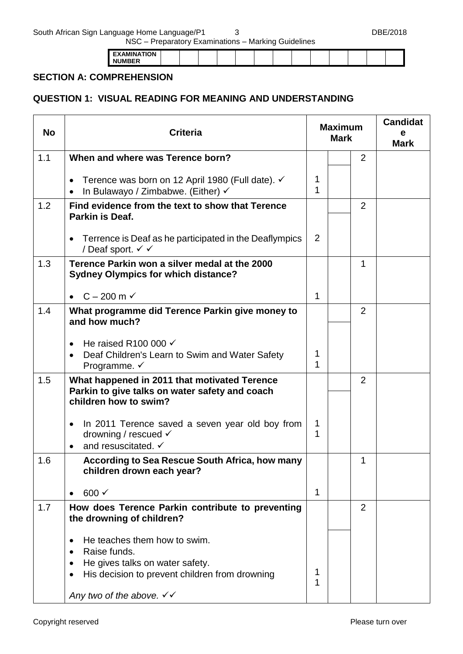South African Sign Language Home Language/P1 3 3 DBE/2018

NSC – Preparatory Examinations – Marking Guidelines

| -- - - -         |  |  |  |  |  |  |  |
|------------------|--|--|--|--|--|--|--|
| - -<br>. .<br>'' |  |  |  |  |  |  |  |
| N                |  |  |  |  |  |  |  |

#### **SECTION A: COMPREHENSION**

## **QUESTION 1: VISUAL READING FOR MEANING AND UNDERSTANDING**

| <b>No</b> | <b>Criteria</b>                                                                                                                                                                                             |        | <b>Maximum</b><br><b>Mark</b> |                | <b>Candidat</b><br>е<br><b>Mark</b> |
|-----------|-------------------------------------------------------------------------------------------------------------------------------------------------------------------------------------------------------------|--------|-------------------------------|----------------|-------------------------------------|
| 1.1       | When and where was Terence born?                                                                                                                                                                            |        |                               | $\overline{2}$ |                                     |
|           | Terence was born on 12 April 1980 (Full date). ✓<br>$\bullet$<br>In Bulawayo / Zimbabwe. (Either) $\checkmark$<br>$\bullet$                                                                                 | 1<br>1 |                               |                |                                     |
| 1.2       | Find evidence from the text to show that Terence<br>Parkin is Deaf.                                                                                                                                         |        |                               | $\overline{2}$ |                                     |
|           | • Terrence is Deaf as he participated in the Deaflympics<br>/ Deaf sport. √ √                                                                                                                               | 2      |                               |                |                                     |
| 1.3       | Terence Parkin won a silver medal at the 2000<br><b>Sydney Olympics for which distance?</b>                                                                                                                 |        |                               | 1              |                                     |
|           | $C - 200$ m $\checkmark$                                                                                                                                                                                    | 1      |                               |                |                                     |
| 1.4       | What programme did Terence Parkin give money to<br>and how much?                                                                                                                                            |        |                               | $\overline{2}$ |                                     |
|           | He raised R100 000 $\checkmark$<br>Deaf Children's Learn to Swim and Water Safety<br>Programme. $\checkmark$                                                                                                | 1<br>1 |                               |                |                                     |
| 1.5       | What happened in 2011 that motivated Terence<br>Parkin to give talks on water safety and coach<br>children how to swim?                                                                                     |        |                               | $\overline{2}$ |                                     |
|           | In 2011 Terence saved a seven year old boy from<br>$\bullet$<br>drowning / rescued $\checkmark$<br>and resuscitated. ✓                                                                                      | 1<br>1 |                               |                |                                     |
| 1.6       | <b>According to Sea Rescue South Africa, how many</b><br>children drown each year?                                                                                                                          |        |                               | 1              |                                     |
|           | $600 \checkmark$                                                                                                                                                                                            | 1      |                               |                |                                     |
| 1.7       | How does Terence Parkin contribute to preventing<br>the drowning of children?                                                                                                                               |        |                               | $\overline{2}$ |                                     |
|           | He teaches them how to swim.<br>$\bullet$<br>Raise funds.<br>$\bullet$<br>He gives talks on water safety.<br>His decision to prevent children from drowning<br>Any two of the above. $\checkmark\checkmark$ | 1<br>1 |                               |                |                                     |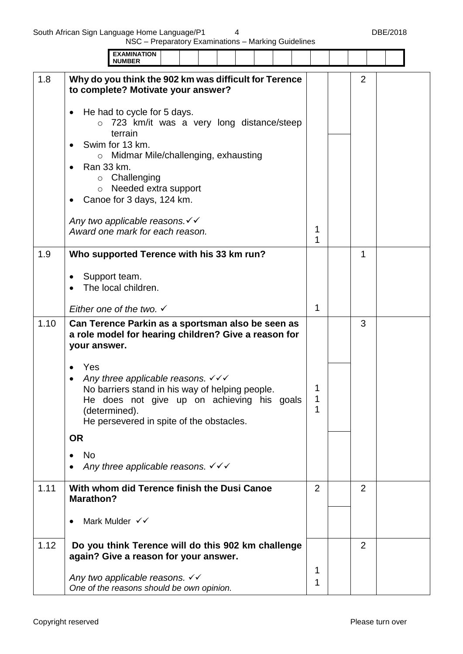|      | <b>EXAMINATION</b><br><b>NUMBER</b>                                                                                                                                                                                                          |        |                |  |
|------|----------------------------------------------------------------------------------------------------------------------------------------------------------------------------------------------------------------------------------------------|--------|----------------|--|
| 1.8  | Why do you think the 902 km was difficult for Terence<br>to complete? Motivate your answer?                                                                                                                                                  |        | $\overline{2}$ |  |
|      | He had to cycle for 5 days.<br>723 km/it was a very long distance/steep<br>$\Omega$<br>terrain<br>Swim for 13 km.                                                                                                                            |        |                |  |
|      | Midmar Mile/challenging, exhausting<br>$\circ$<br>Ran 33 km.<br>$\circ$ Challenging<br>$\circ$ Needed extra support<br>Canoe for 3 days, 124 km.                                                                                             |        |                |  |
|      | Any two applicable reasons. V V<br>Award one mark for each reason.                                                                                                                                                                           | 1<br>1 |                |  |
| 1.9  | Who supported Terence with his 33 km run?                                                                                                                                                                                                    |        | 1              |  |
|      | Support team.<br>The local children.                                                                                                                                                                                                         |        |                |  |
|      | Either one of the two. $\checkmark$                                                                                                                                                                                                          | 1      |                |  |
| 1.10 | Can Terence Parkin as a sportsman also be seen as<br>a role model for hearing children? Give a reason for<br>your answer.                                                                                                                    |        | 3              |  |
|      | Yes<br>$\bullet$<br>Any three applicable reasons. $\checkmark \checkmark$<br>٠<br>No barriers stand in his way of helping people.<br>He does not give up on achieving his goals<br>(determined).<br>He persevered in spite of the obstacles. | 1<br>1 |                |  |
|      | <b>OR</b>                                                                                                                                                                                                                                    |        |                |  |
|      | <b>No</b><br>Any three applicable reasons. $\checkmark \checkmark \checkmark$                                                                                                                                                                |        |                |  |
| 1.11 | With whom did Terence finish the Dusi Canoe<br><b>Marathon?</b>                                                                                                                                                                              | 2      | 2              |  |
|      | Mark Mulder √√                                                                                                                                                                                                                               |        |                |  |
| 1.12 | Do you think Terence will do this 902 km challenge<br>again? Give a reason for your answer.                                                                                                                                                  |        | $\overline{2}$ |  |
|      | Any two applicable reasons. √√<br>One of the reasons should be own opinion.                                                                                                                                                                  | 1<br>1 |                |  |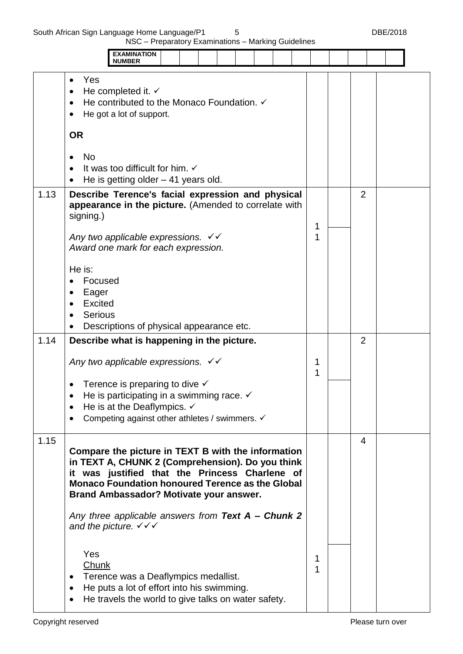|      | <b>EXAMINATION</b><br><b>NUMBER</b>                                                                                                                                                                                                                            |        |                |  |
|------|----------------------------------------------------------------------------------------------------------------------------------------------------------------------------------------------------------------------------------------------------------------|--------|----------------|--|
|      | Yes<br>$\bullet$<br>He completed it. $\checkmark$<br>He contributed to the Monaco Foundation. ✓<br>He got a lot of support.<br>٠                                                                                                                               |        |                |  |
|      | <b>OR</b>                                                                                                                                                                                                                                                      |        |                |  |
|      | <b>No</b><br>$\bullet$<br>It was too difficult for him. $\checkmark$<br>He is getting older $-41$ years old.<br>$\bullet$                                                                                                                                      |        |                |  |
| 1.13 | Describe Terence's facial expression and physical<br>appearance in the picture. (Amended to correlate with<br>signing.)                                                                                                                                        | 1      | $\overline{2}$ |  |
|      | Any two applicable expressions. $\checkmark\checkmark$<br>Award one mark for each expression.                                                                                                                                                                  | 1      |                |  |
|      | He is:<br>Focused<br>Eager<br>$\bullet$<br><b>Excited</b><br><b>Serious</b><br>Descriptions of physical appearance etc.                                                                                                                                        |        |                |  |
| 1.14 | Describe what is happening in the picture.                                                                                                                                                                                                                     |        | $\overline{2}$ |  |
|      | Any two applicable expressions. $\checkmark \checkmark$                                                                                                                                                                                                        | 1<br>1 |                |  |
|      | Terence is preparing to dive $\checkmark$<br>He is participating in a swimming race. $\checkmark$<br>He is at the Deaflympics. $\checkmark$<br>٠<br>Competing against other athletes / swimmers. √<br>٠                                                        |        |                |  |
| 1.15 | Compare the picture in TEXT B with the information<br>in TEXT A, CHUNK 2 (Comprehension). Do you think<br>it was justified that the Princess Charlene of<br><b>Monaco Foundation honoured Terence as the Global</b><br>Brand Ambassador? Motivate your answer. |        | $\overline{4}$ |  |
|      | Any three applicable answers from Text A - Chunk 2<br>and the picture. $\checkmark \checkmark$                                                                                                                                                                 |        |                |  |
|      | Yes<br>Chunk<br>Terence was a Deaflympics medallist.<br>$\bullet$<br>He puts a lot of effort into his swimming.<br>$\bullet$<br>He travels the world to give talks on water safety.<br>$\bullet$                                                               | 1<br>1 |                |  |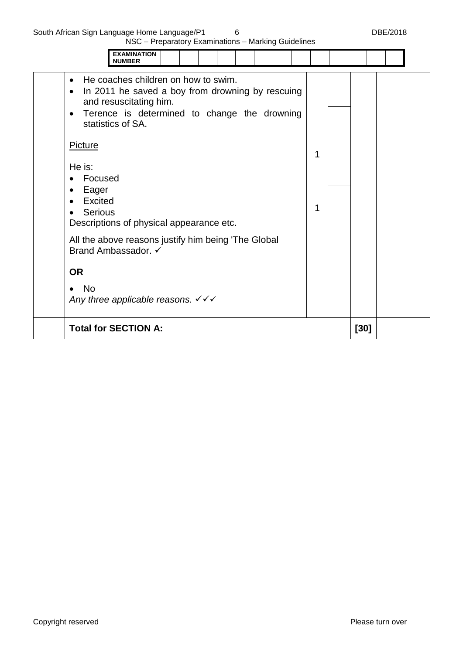| <b>EXAMINATION</b><br><b>NUMBER</b>                                                                                                                                                                                           |        |        |  |
|-------------------------------------------------------------------------------------------------------------------------------------------------------------------------------------------------------------------------------|--------|--------|--|
| He coaches children on how to swim.<br>$\bullet$<br>In 2011 he saved a boy from drowning by rescuing<br>$\bullet$<br>and resuscitating him.<br>Terence is determined to change the drowning<br>$\bullet$<br>statistics of SA. |        |        |  |
| <b>Picture</b><br>He is:<br>Focused<br>$\bullet$<br>Eager<br>٠<br><b>Excited</b><br>$\bullet$<br><b>Serious</b><br>Descriptions of physical appearance etc.                                                                   | 1<br>1 |        |  |
| All the above reasons justify him being 'The Global<br>Brand Ambassador. ✓                                                                                                                                                    |        |        |  |
| <b>OR</b>                                                                                                                                                                                                                     |        |        |  |
| <b>No</b><br>$\bullet$<br>Any three applicable reasons. $\checkmark \checkmark \checkmark$                                                                                                                                    |        |        |  |
| <b>Total for SECTION A:</b>                                                                                                                                                                                                   |        | $[30]$ |  |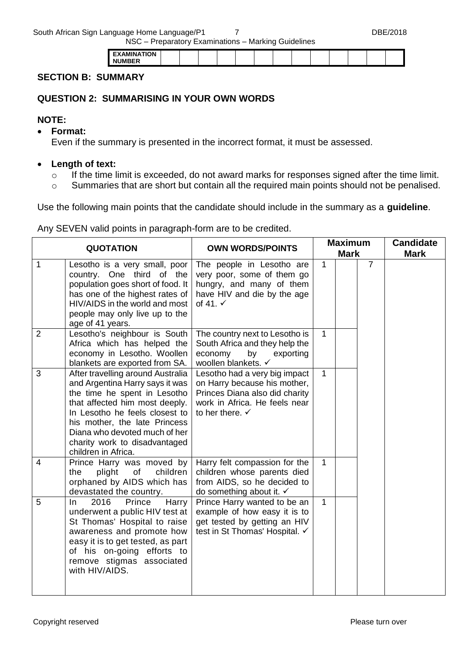South African Sign Language Home Language/P1 7 7 DBE/2018

NSC – Preparatory Examinations – Marking Guidelines

| חו |  |  |  |  |  |  |
|----|--|--|--|--|--|--|
|    |  |  |  |  |  |  |
|    |  |  |  |  |  |  |

#### **SECTION B: SUMMARY**

#### **QUESTION 2: SUMMARISING IN YOUR OWN WORDS**

#### **NOTE:**

**Format:**

Even if the summary is presented in the incorrect format, it must be assessed.

- **Length of text:**
	- o If the time limit is exceeded, do not award marks for responses signed after the time limit.
	- o Summaries that are short but contain all the required main points should not be penalised.

Use the following main points that the candidate should include in the summary as a **guideline**.

Any SEVEN valid points in paragraph-form are to be credited.

|                | <b>QUOTATION</b>                                                                                                                                                                                                                                                                                   | <b>OWN WORDS/POINTS</b>                                                                                                                                        | <b>Maximum</b><br><b>Mark</b> |  |                | <b>Candidate</b><br><b>Mark</b> |
|----------------|----------------------------------------------------------------------------------------------------------------------------------------------------------------------------------------------------------------------------------------------------------------------------------------------------|----------------------------------------------------------------------------------------------------------------------------------------------------------------|-------------------------------|--|----------------|---------------------------------|
| $\mathbf{1}$   | Lesotho is a very small, poor<br>country. One third of the<br>population goes short of food. It<br>has one of the highest rates of<br>HIV/AIDS in the world and most<br>people may only live up to the<br>age of 41 years.                                                                         | The people in Lesotho are<br>very poor, some of them go<br>hungry, and many of them<br>have HIV and die by the age<br>of 41. $\checkmark$                      | $\mathbf{1}$                  |  | $\overline{7}$ |                                 |
| $\overline{2}$ | Lesotho's neighbour is South<br>Africa which has helped the<br>economy in Lesotho. Woollen<br>blankets are exported from SA.                                                                                                                                                                       | The country next to Lesotho is<br>South Africa and they help the<br>economy<br>by<br>exporting<br>woollen blankets. √                                          | $\mathbf{1}$                  |  |                |                                 |
| 3              | After travelling around Australia<br>and Argentina Harry says it was<br>the time he spent in Lesotho<br>that affected him most deeply.<br>In Lesotho he feels closest to<br>his mother, the late Princess<br>Diana who devoted much of her<br>charity work to disadvantaged<br>children in Africa. | Lesotho had a very big impact<br>on Harry because his mother,<br>Princes Diana also did charity<br>work in Africa. He feels near<br>to her there. $\checkmark$ | $\mathbf{1}$                  |  |                |                                 |
| $\overline{4}$ | Prince Harry was moved by<br>plight<br>children<br>of<br>the<br>orphaned by AIDS which has<br>devastated the country.                                                                                                                                                                              | Harry felt compassion for the<br>children whose parents died<br>from AIDS, so he decided to<br>do something about it. $\checkmark$                             | $\mathbf{1}$                  |  |                |                                 |
| 5              | 2016<br>Prince<br>Harry<br>In.<br>underwent a public HIV test at<br>St Thomas' Hospital to raise<br>awareness and promote how<br>easy it is to get tested, as part<br>of his on-going efforts to<br>remove stigmas associated<br>with HIV/AIDS.                                                    | Prince Harry wanted to be an<br>example of how easy it is to<br>get tested by getting an HIV<br>test in St Thomas' Hospital. ✓                                 | $\mathbf{1}$                  |  |                |                                 |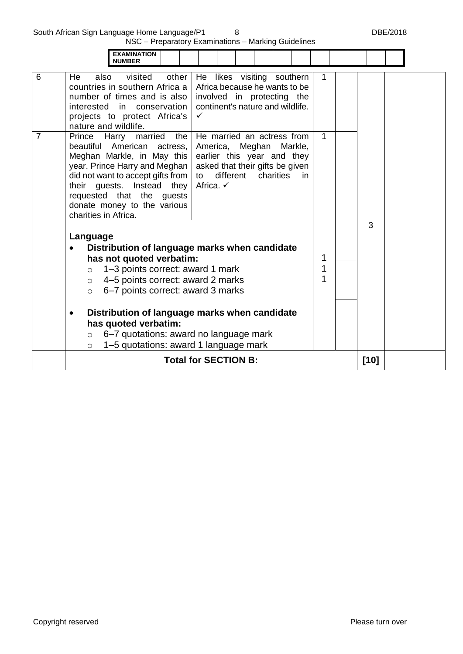South African Sign Language Home Language/P1 8 8 and 100 mm control of the DBE/2018

ä

| <b>EXAMINATION</b><br><b>NUMBER</b>                                                                                                                                                                                                                                                                                   |                                                                                                                                                                            |              |        |  |
|-----------------------------------------------------------------------------------------------------------------------------------------------------------------------------------------------------------------------------------------------------------------------------------------------------------------------|----------------------------------------------------------------------------------------------------------------------------------------------------------------------------|--------------|--------|--|
| 6<br>visited<br>other<br>He<br>also<br>countries in southern Africa a<br>number of times and is also<br>interested in conservation<br>projects to protect Africa's<br>nature and wildlife.                                                                                                                            | He likes visiting southern<br>Africa because he wants to be<br>involved in protecting the<br>continent's nature and wildlife.<br>✓                                         |              |        |  |
| $\overline{7}$<br>Prince Harry<br>married<br>the<br>beautiful<br>American<br>actress,<br>Meghan Markle, in May this<br>year. Prince Harry and Meghan<br>did not want to accept gifts from<br>their guests. Instead they<br>requested that the guests<br>donate money to the various<br>charities in Africa.           | He married an actress from<br>America,<br>Meghan Markle,<br>earlier this year and they<br>asked that their gifts be given<br>different charities<br>to<br>in.<br>Africa. ✓ | $\mathbf{1}$ |        |  |
| Language<br>has not quoted verbatim:<br>1-3 points correct: award 1 mark<br>$\circ$<br>4–5 points correct: award 2 marks<br>$\circ$<br>6-7 points correct: award 3 marks<br>$\Omega$<br>has quoted verbatim:<br>6-7 quotations: award no language mark<br>$\circ$<br>1-5 quotations: award 1 language mark<br>$\circ$ | Distribution of language marks when candidate<br>Distribution of language marks when candidate                                                                             | 1            | 3      |  |
|                                                                                                                                                                                                                                                                                                                       | <b>Total for SECTION B:</b>                                                                                                                                                |              | $[10]$ |  |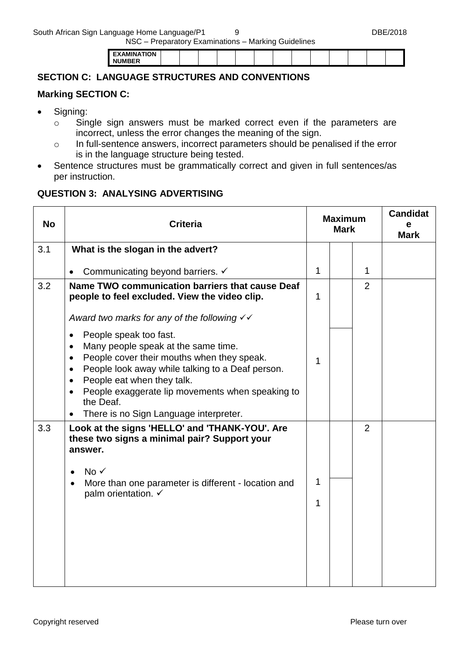| . <b>.</b> |
|------------|
|------------|

## **SECTION C: LANGUAGE STRUCTURES AND CONVENTIONS**

#### **Marking SECTION C:**

- Signing:
	- o Single sign answers must be marked correct even if the parameters are incorrect, unless the error changes the meaning of the sign.
	- o In full-sentence answers, incorrect parameters should be penalised if the error is in the language structure being tested.
- Sentence structures must be grammatically correct and given in full sentences/as per instruction.

#### **QUESTION 3: ANALYSING ADVERTISING**

| <b>No</b> | <b>Criteria</b>                                                                                                                                                                                                                                                                                                                                                                                                                                           | <b>Maximum</b><br><b>Mark</b> |  |                | <b>Candidat</b><br>е<br><b>Mark</b> |
|-----------|-----------------------------------------------------------------------------------------------------------------------------------------------------------------------------------------------------------------------------------------------------------------------------------------------------------------------------------------------------------------------------------------------------------------------------------------------------------|-------------------------------|--|----------------|-------------------------------------|
| 3.1       | What is the slogan in the advert?                                                                                                                                                                                                                                                                                                                                                                                                                         |                               |  |                |                                     |
|           | Communicating beyond barriers. ✓<br>$\bullet$                                                                                                                                                                                                                                                                                                                                                                                                             | 1                             |  | $\mathbf{1}$   |                                     |
| 3.2       | Name TWO communication barriers that cause Deaf<br>people to feel excluded. View the video clip.                                                                                                                                                                                                                                                                                                                                                          | $\mathbf 1$                   |  | $\overline{2}$ |                                     |
|           | Award two marks for any of the following $\checkmark\checkmark$<br>People speak too fast.<br>$\bullet$<br>Many people speak at the same time.<br>$\bullet$<br>People cover their mouths when they speak.<br>$\bullet$<br>People look away while talking to a Deaf person.<br>$\bullet$<br>People eat when they talk.<br>$\bullet$<br>People exaggerate lip movements when speaking to<br>$\bullet$<br>the Deaf.<br>There is no Sign Language interpreter. | 1                             |  |                |                                     |
| 3.3       | Look at the signs 'HELLO' and 'THANK-YOU'. Are<br>these two signs a minimal pair? Support your<br>answer.<br>$No \checkmark$<br>$\bullet$<br>More than one parameter is different - location and<br>$\bullet$<br>palm orientation. √                                                                                                                                                                                                                      | 1<br>1                        |  | $\overline{2}$ |                                     |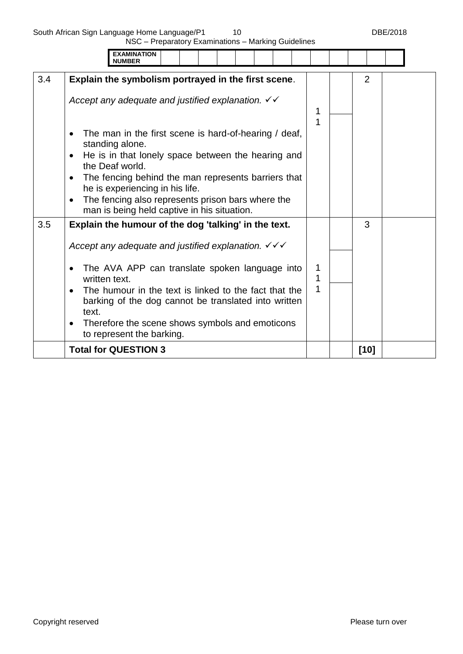South African Sign Language Home Language/P1 10 DBE/2018

|     | <b>EXAMINATION</b><br><b>NUMBER</b>                                                                                                                                                                                                                                                                                                                                                                                                            |             |                |  |
|-----|------------------------------------------------------------------------------------------------------------------------------------------------------------------------------------------------------------------------------------------------------------------------------------------------------------------------------------------------------------------------------------------------------------------------------------------------|-------------|----------------|--|
| 3.4 | Explain the symbolism portrayed in the first scene.                                                                                                                                                                                                                                                                                                                                                                                            |             | $\overline{2}$ |  |
|     | Accept any adequate and justified explanation. $\checkmark\checkmark$<br>The man in the first scene is hard-of-hearing / deaf,<br>$\bullet$<br>standing alone.<br>He is in that lonely space between the hearing and<br>$\bullet$<br>the Deaf world.<br>The fencing behind the man represents barriers that<br>$\bullet$<br>he is experiencing in his life.<br>The fencing also represents prison bars where the<br>$\bullet$                  | 1<br>1      |                |  |
|     | man is being held captive in his situation.                                                                                                                                                                                                                                                                                                                                                                                                    |             |                |  |
| 3.5 | Explain the humour of the dog 'talking' in the text.<br>Accept any adequate and justified explanation. $\sqrt{\checkmark}$<br>The AVA APP can translate spoken language into<br>$\bullet$<br>written text.<br>The humour in the text is linked to the fact that the<br>$\bullet$<br>barking of the dog cannot be translated into written<br>text.<br>Therefore the scene shows symbols and emoticons<br>$\bullet$<br>to represent the barking. | 1<br>1<br>1 | 3              |  |
|     | <b>Total for QUESTION 3</b>                                                                                                                                                                                                                                                                                                                                                                                                                    |             | $[10]$         |  |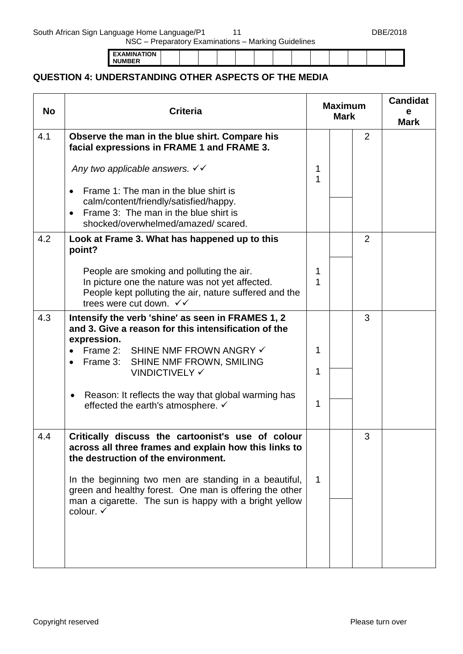**EXAMINATION NUMBER**

## **QUESTION 4: UNDERSTANDING OTHER ASPECTS OF THE MEDIA**

| <b>No</b> | <b>Criteria</b>                                                                                                                                                                                       |             | <b>Maximum</b><br><b>Mark</b> | <b>Candidat</b><br>е<br><b>Mark</b> |  |
|-----------|-------------------------------------------------------------------------------------------------------------------------------------------------------------------------------------------------------|-------------|-------------------------------|-------------------------------------|--|
| 4.1       | Observe the man in the blue shirt. Compare his<br>facial expressions in FRAME 1 and FRAME 3.                                                                                                          |             |                               | 2                                   |  |
|           | Any two applicable answers. $\checkmark\checkmark$                                                                                                                                                    | 1<br>1      |                               |                                     |  |
|           | Frame 1: The man in the blue shirt is<br>calm/content/friendly/satisfied/happy.<br>Frame 3: The man in the blue shirt is<br>shocked/overwhelmed/amazed/scared.                                        |             |                               |                                     |  |
| 4.2       | Look at Frame 3. What has happened up to this<br>point?                                                                                                                                               |             |                               | 2                                   |  |
|           | People are smoking and polluting the air.<br>In picture one the nature was not yet affected.<br>People kept polluting the air, nature suffered and the<br>trees were cut down. $\checkmark\checkmark$ | 1<br>1      |                               |                                     |  |
| 4.3       | Intensify the verb 'shine' as seen in FRAMES 1, 2<br>and 3. Give a reason for this intensification of the<br>expression.                                                                              |             |                               | 3                                   |  |
|           | Frame 2: SHINE NMF FROWN ANGRY ✓<br>Frame 3: SHINE NMF FROWN, SMILING<br><b>VINDICTIVELY ✓</b>                                                                                                        | 1<br>1      |                               |                                     |  |
|           | Reason: It reflects the way that global warming has<br>$\bullet$<br>effected the earth's atmosphere. $\checkmark$                                                                                     | 1           |                               |                                     |  |
| 4.4       | Critically discuss the cartoonist's use of colour<br>across all three frames and explain how this links to<br>the destruction of the environment.                                                     |             |                               | 3                                   |  |
|           | In the beginning two men are standing in a beautiful,<br>green and healthy forest. One man is offering the other<br>man a cigarette. The sun is happy with a bright yellow                            | $\mathbf 1$ |                               |                                     |  |
|           | colour. √                                                                                                                                                                                             |             |                               |                                     |  |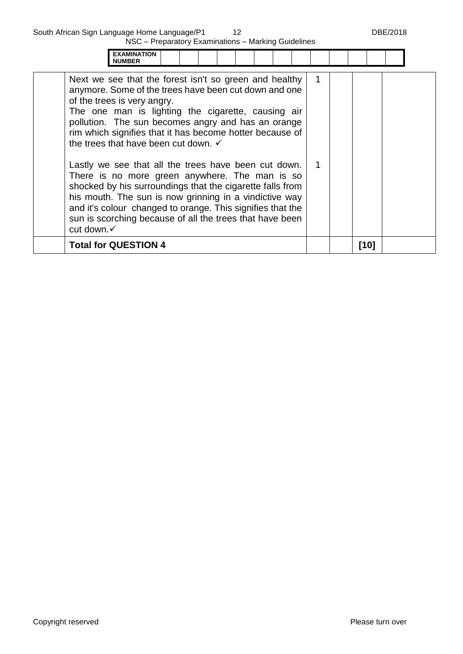|            | <b>EXAMINATION</b><br><b>NUMBER</b>                                                                                                                                                                                                                                                                                                                                                                                                                                                                                                                                                                                                                                                                                                  |  |  |  |  |   |  |        |  |
|------------|--------------------------------------------------------------------------------------------------------------------------------------------------------------------------------------------------------------------------------------------------------------------------------------------------------------------------------------------------------------------------------------------------------------------------------------------------------------------------------------------------------------------------------------------------------------------------------------------------------------------------------------------------------------------------------------------------------------------------------------|--|--|--|--|---|--|--------|--|
| cut down.√ | Next we see that the forest isn't so green and healthy<br>anymore. Some of the trees have been cut down and one<br>of the trees is very angry.<br>The one man is lighting the cigarette, causing air<br>pollution. The sun becomes angry and has an orange<br>rim which signifies that it has become hotter because of<br>the trees that have been cut down. $\checkmark$<br>Lastly we see that all the trees have been cut down.<br>There is no more green anywhere. The man is so<br>shocked by his surroundings that the cigarette falls from<br>his mouth. The sun is now grinning in a vindictive way<br>and it's colour changed to orange. This signifies that the<br>sun is scorching because of all the trees that have been |  |  |  |  | 1 |  |        |  |
|            | <b>Total for QUESTION 4</b>                                                                                                                                                                                                                                                                                                                                                                                                                                                                                                                                                                                                                                                                                                          |  |  |  |  |   |  | $[10]$ |  |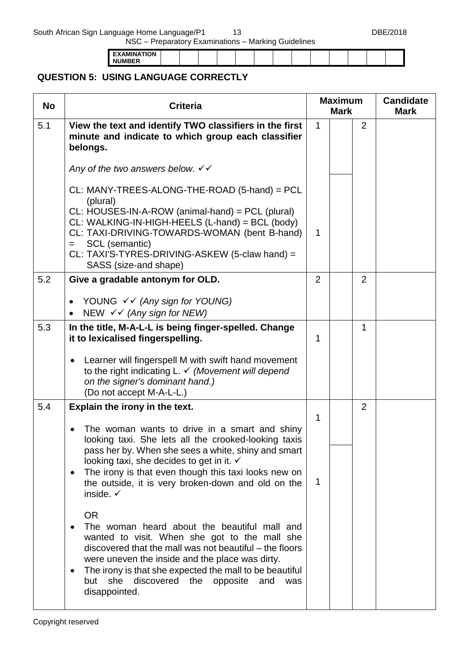South African Sign Language Home Language/P1 13 13 DBE/2018

NSC – Preparatory Examinations – Marking Guidelines

| <b>EXAMINATION</b>  |  |  |  |  |  |  |  |
|---------------------|--|--|--|--|--|--|--|
| <b>JIIMRER</b><br>N |  |  |  |  |  |  |  |

# **QUESTION 5: USING LANGUAGE CORRECTLY**

| <b>No</b> | <b>Criteria</b>                                                                                                                                                                                                                                                                                                                                                                             |   | <b>Maximum</b><br><b>Mark</b> |                | <b>Candidate</b><br><b>Mark</b> |
|-----------|---------------------------------------------------------------------------------------------------------------------------------------------------------------------------------------------------------------------------------------------------------------------------------------------------------------------------------------------------------------------------------------------|---|-------------------------------|----------------|---------------------------------|
| 5.1       | View the text and identify TWO classifiers in the first<br>minute and indicate to which group each classifier<br>belongs.                                                                                                                                                                                                                                                                   | 1 |                               | 2              |                                 |
|           | Any of the two answers below. $\checkmark\checkmark$                                                                                                                                                                                                                                                                                                                                        |   |                               |                |                                 |
|           | CL: MANY-TREES-ALONG-THE-ROAD (5-hand) = PCL<br>(plural)<br>CL: HOUSES-IN-A-ROW (animal-hand) = PCL (plural)<br>CL: WALKING-IN-HIGH-HEELS (L-hand) = BCL (body)<br>CL: TAXI-DRIVING-TOWARDS-WOMAN (bent B-hand)<br>SCL (semantic)<br>$=$<br>CL: TAXI'S-TYRES-DRIVING-ASKEW (5-claw hand) =<br>SASS (size-and shape)                                                                         | 1 |                               |                |                                 |
| 5.2       | Give a gradable antonym for OLD.                                                                                                                                                                                                                                                                                                                                                            | 2 |                               | 2              |                                 |
|           | YOUNG $\checkmark\checkmark$ (Any sign for YOUNG)<br>NEW $\checkmark\checkmark$ (Any sign for NEW)<br>$\bullet$                                                                                                                                                                                                                                                                             |   |                               |                |                                 |
| 5.3       | In the title, M-A-L-L is being finger-spelled. Change<br>it to lexicalised fingerspelling.                                                                                                                                                                                                                                                                                                  | 1 |                               | 1              |                                 |
|           | Learner will fingerspell M with swift hand movement<br>$\bullet$<br>to the right indicating $L \checkmark$ (Movement will depend<br>on the signer's dominant hand.)<br>(Do not accept M-A-L-L.)                                                                                                                                                                                             |   |                               |                |                                 |
| 5.4       | Explain the irony in the text.                                                                                                                                                                                                                                                                                                                                                              | 1 |                               | $\overline{2}$ |                                 |
|           | The woman wants to drive in a smart and shiny<br>looking taxi. She lets all the crooked-looking taxis<br>pass her by. When she sees a white, shiny and smart                                                                                                                                                                                                                                |   |                               |                |                                 |
|           | looking taxi, she decides to get in it. $\checkmark$<br>The irony is that even though this taxi looks new on<br>٠<br>the outside, it is very broken-down and old on the<br>inside. $\checkmark$                                                                                                                                                                                             | 1 |                               |                |                                 |
|           | <b>OR</b><br>The woman heard about the beautiful mall and<br>$\bullet$<br>wanted to visit. When she got to the mall she<br>discovered that the mall was not beautiful – the floors<br>were uneven the inside and the place was dirty.<br>The irony is that she expected the mall to be beautiful<br>$\bullet$<br>she<br>discovered<br>the<br>opposite<br>and<br>but<br>was<br>disappointed. |   |                               |                |                                 |